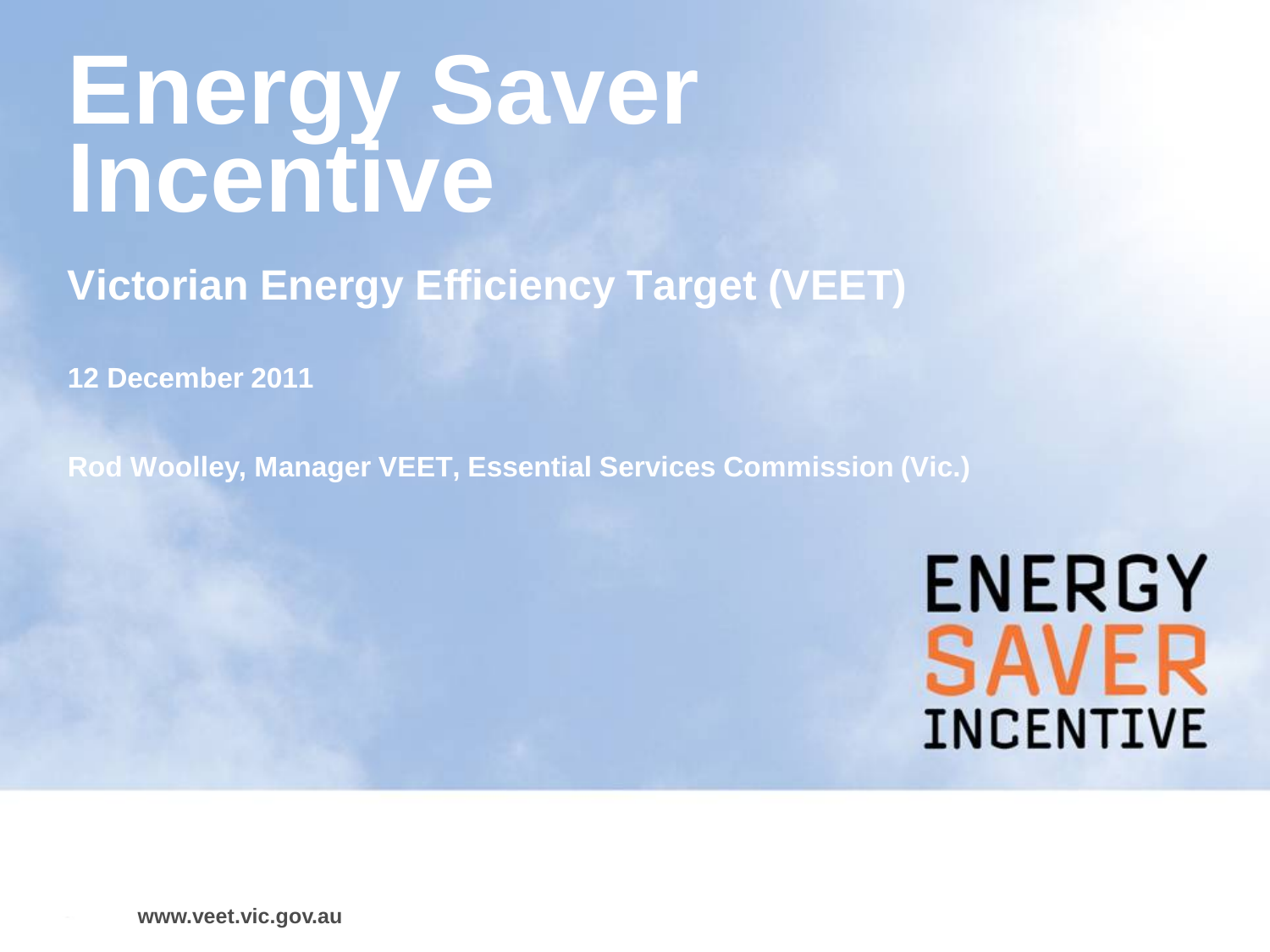# **Energy Saver Incentive**

**Victorian Energy Efficiency Target (VEET)** 

**12 December 2011**

**Rod Woolley, Manager VEET, Essential Services Commission (Vic.)**

**ENERGY SAVER INCENTIVE** 

**www.veet.vic.gov.au**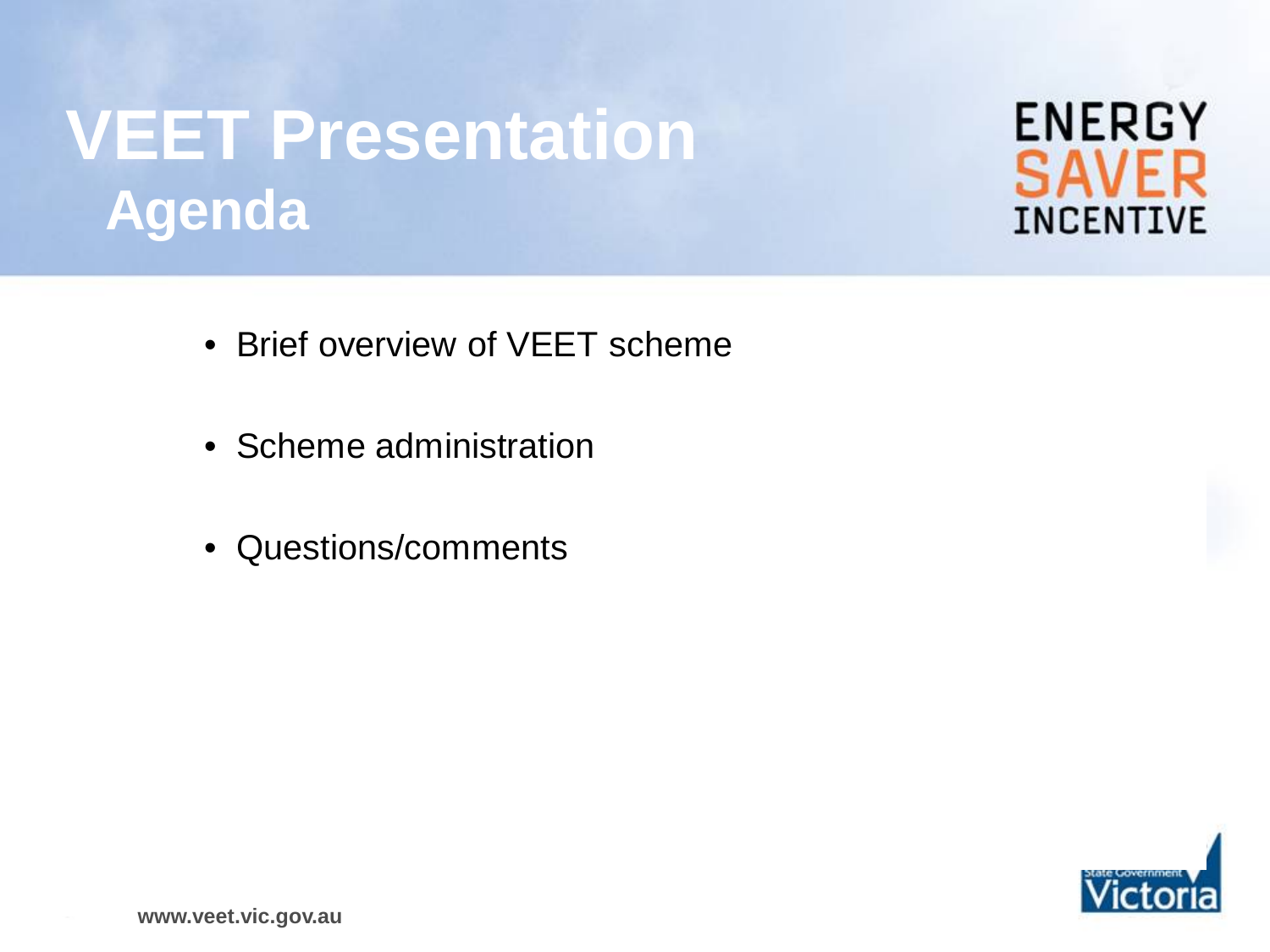# **VEET Presentation Agenda**

- Brief overview of VEET scheme
- Scheme administration
- Questions/comments



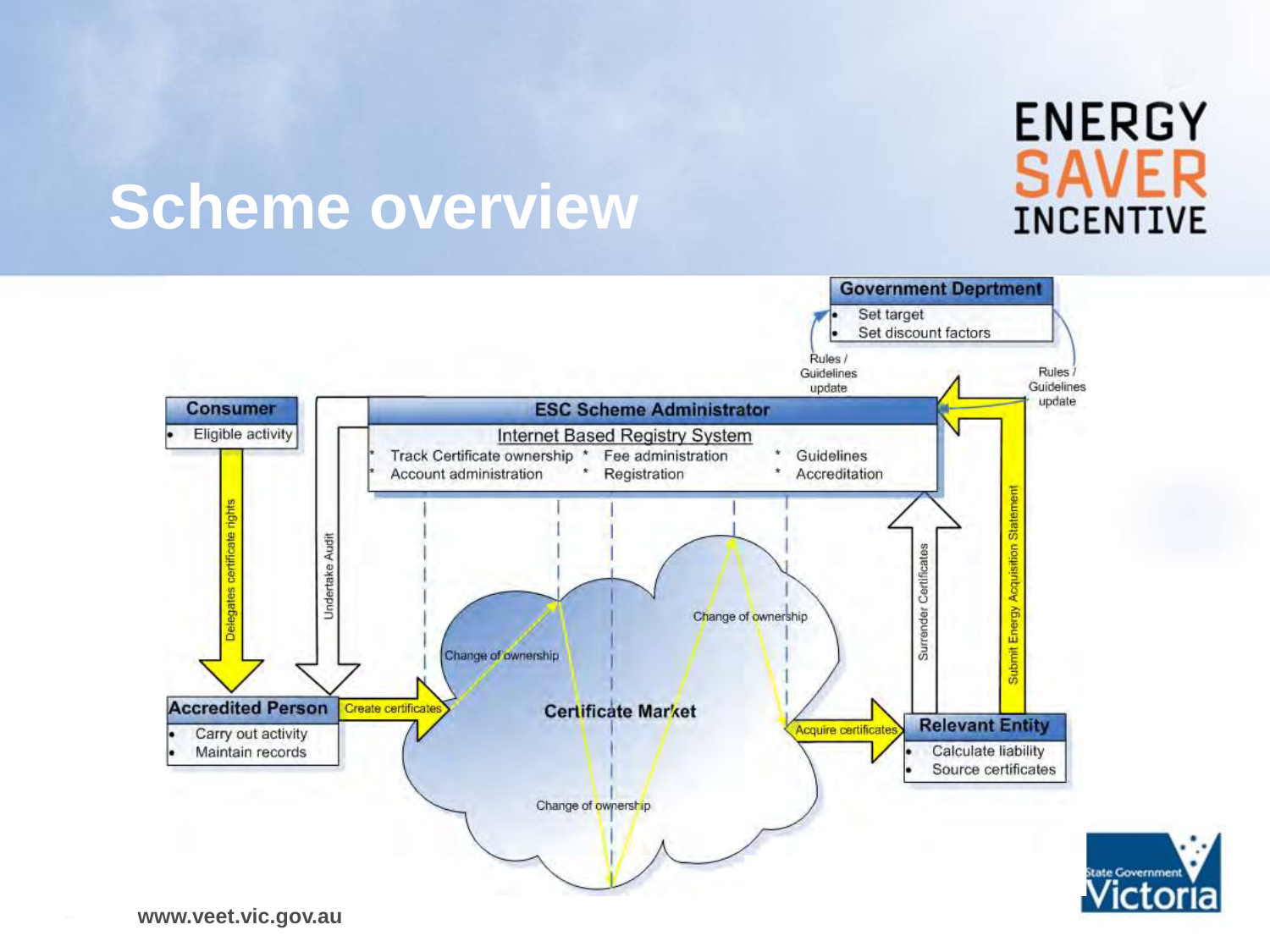### **ENERGY SAVER INCENTIVE**

### **Scheme overview**

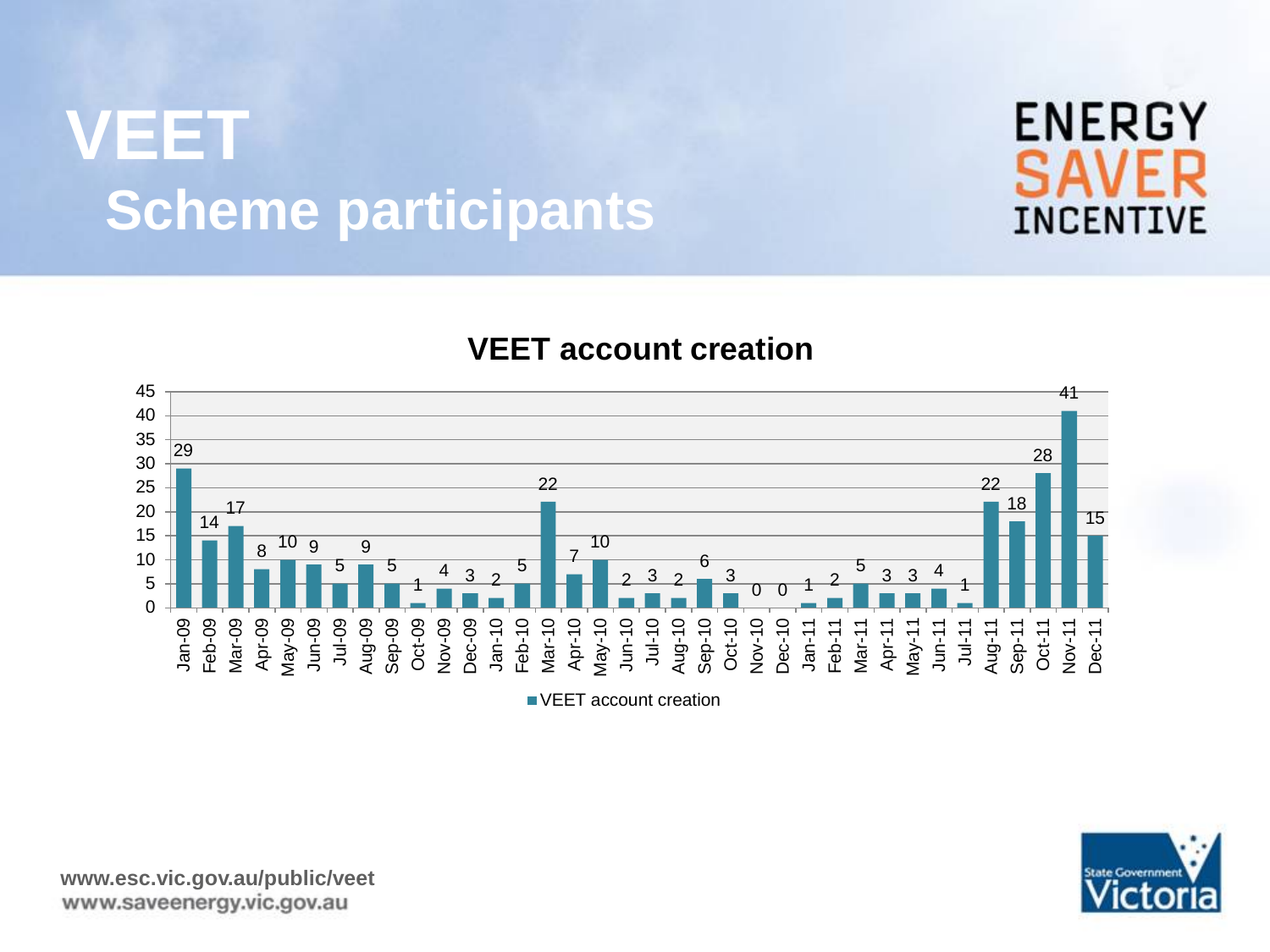### **VEET Scheme participants**





**VEET account creation**

**VEET** account creation

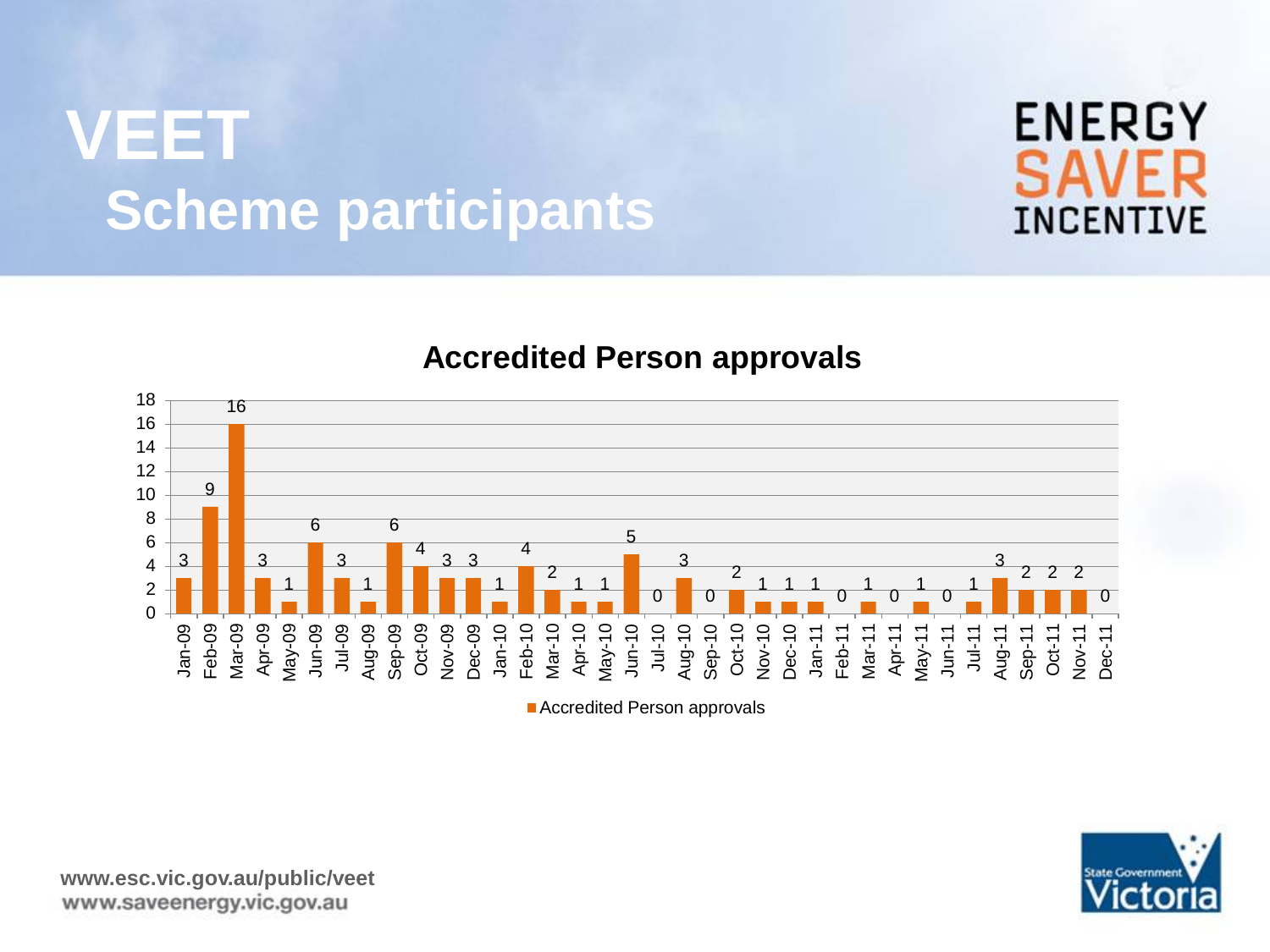### **VEET Scheme participants**







■ Accredited Person approvals

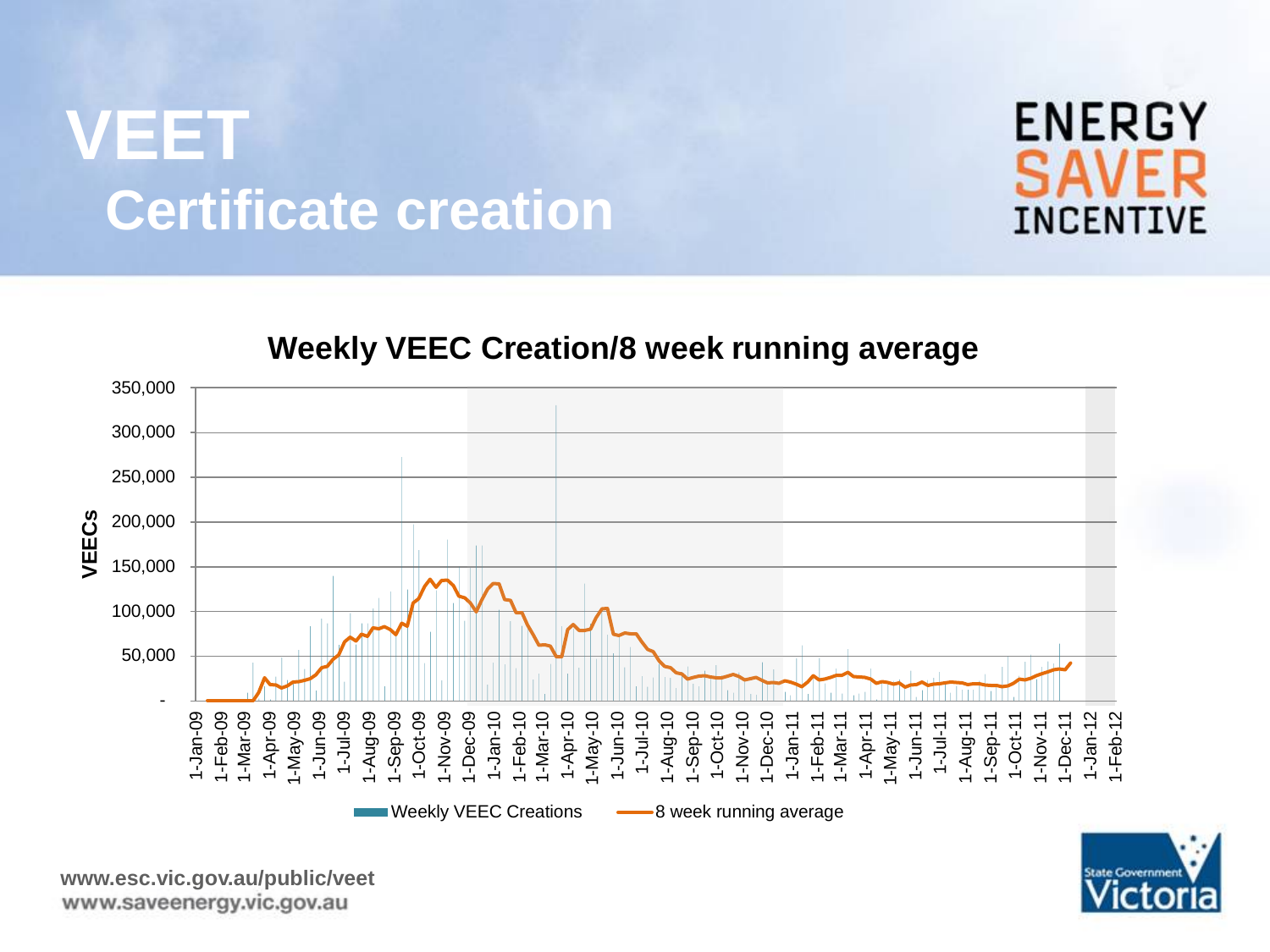### **VEET Certificate creation**



#### **Weekly VEEC Creation/8 week running average**





**www.esc.vic.gov.au/public/veet**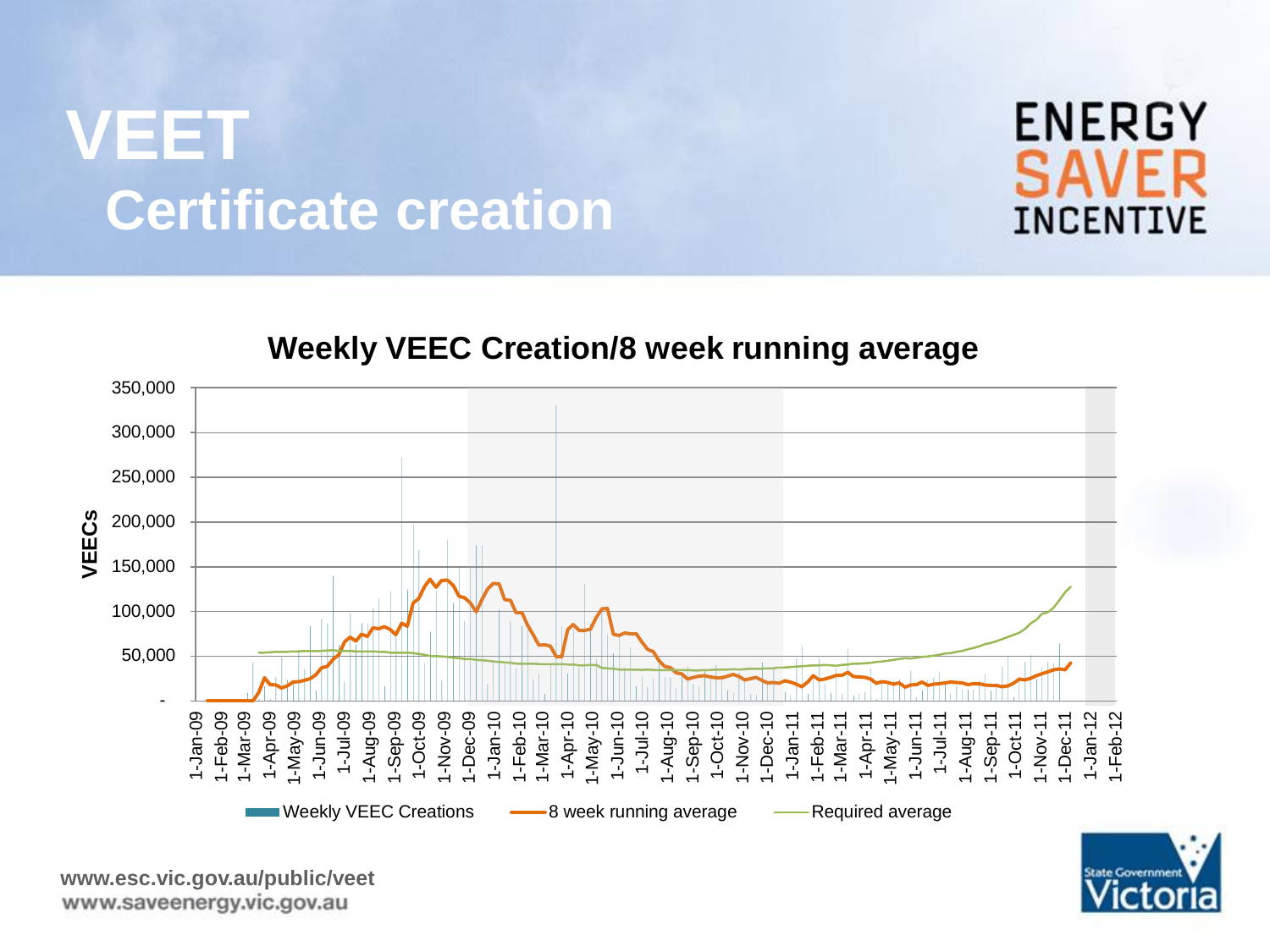### **VEET Certificate creation**



#### **Weekly VEEC Creation/8 week running average**





**www.esc.vic.gov.au/public/veet**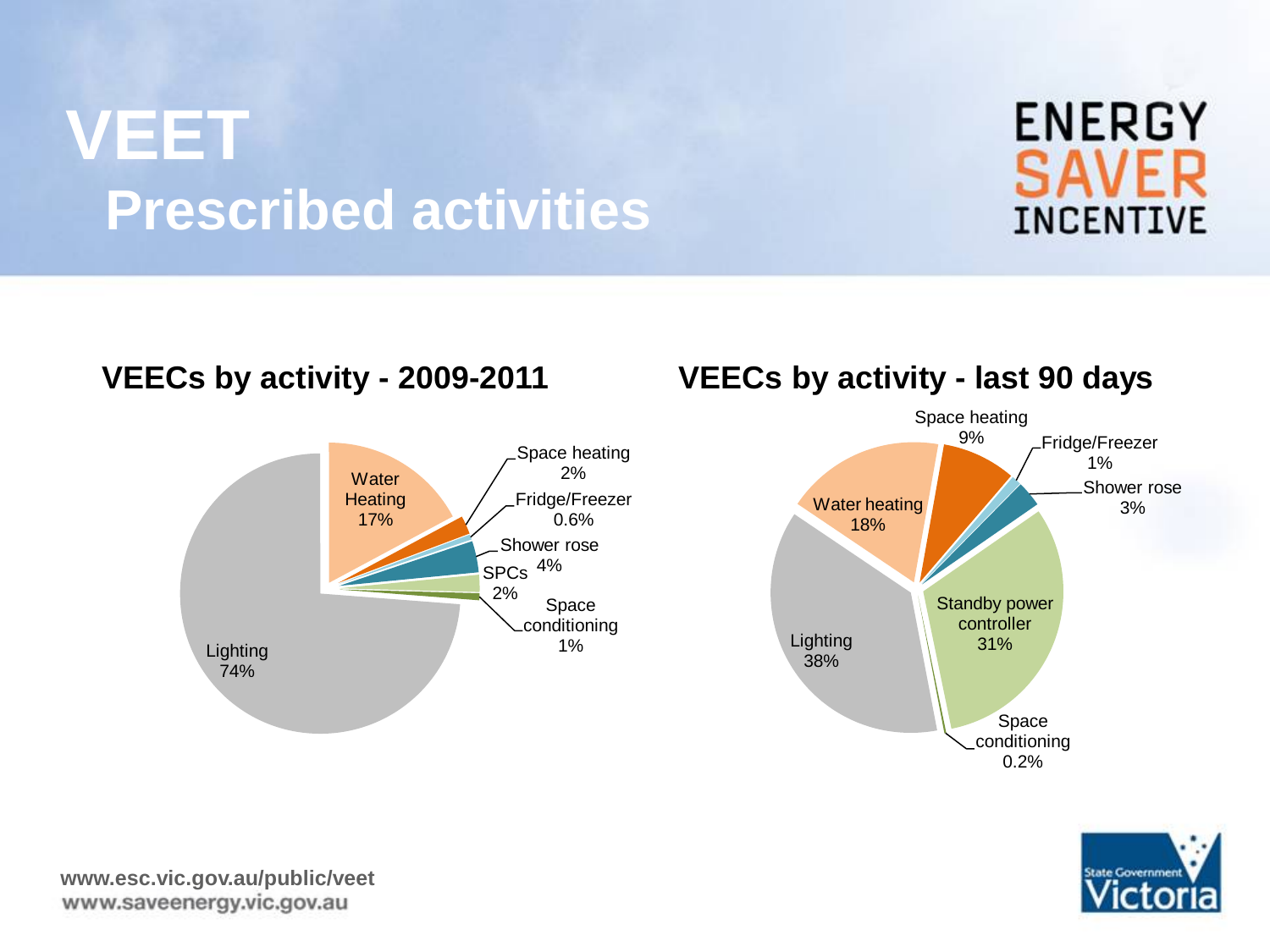### **VEET Prescribed activities**

#### **VEECs by activity - 2009-2011**



#### **VEECs by activity - last 90 days**





**ENERGY** 

**SAVER** 

**INCENTIVE**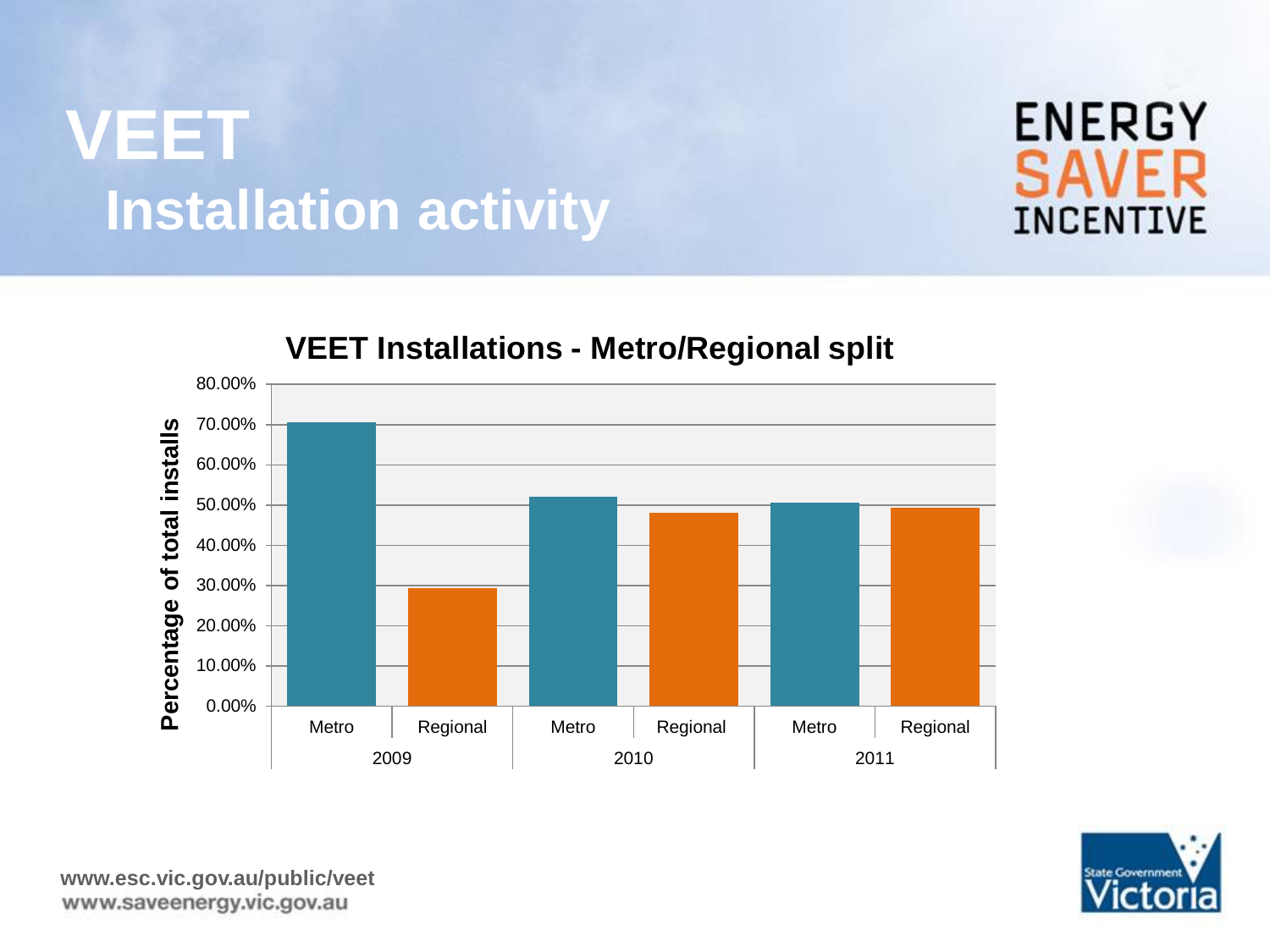### **VEET Installation activity**



#### **VEET Installations - Metro/Regional split**



**ENERGY** 

**INCENTIVE** 

**SAVE**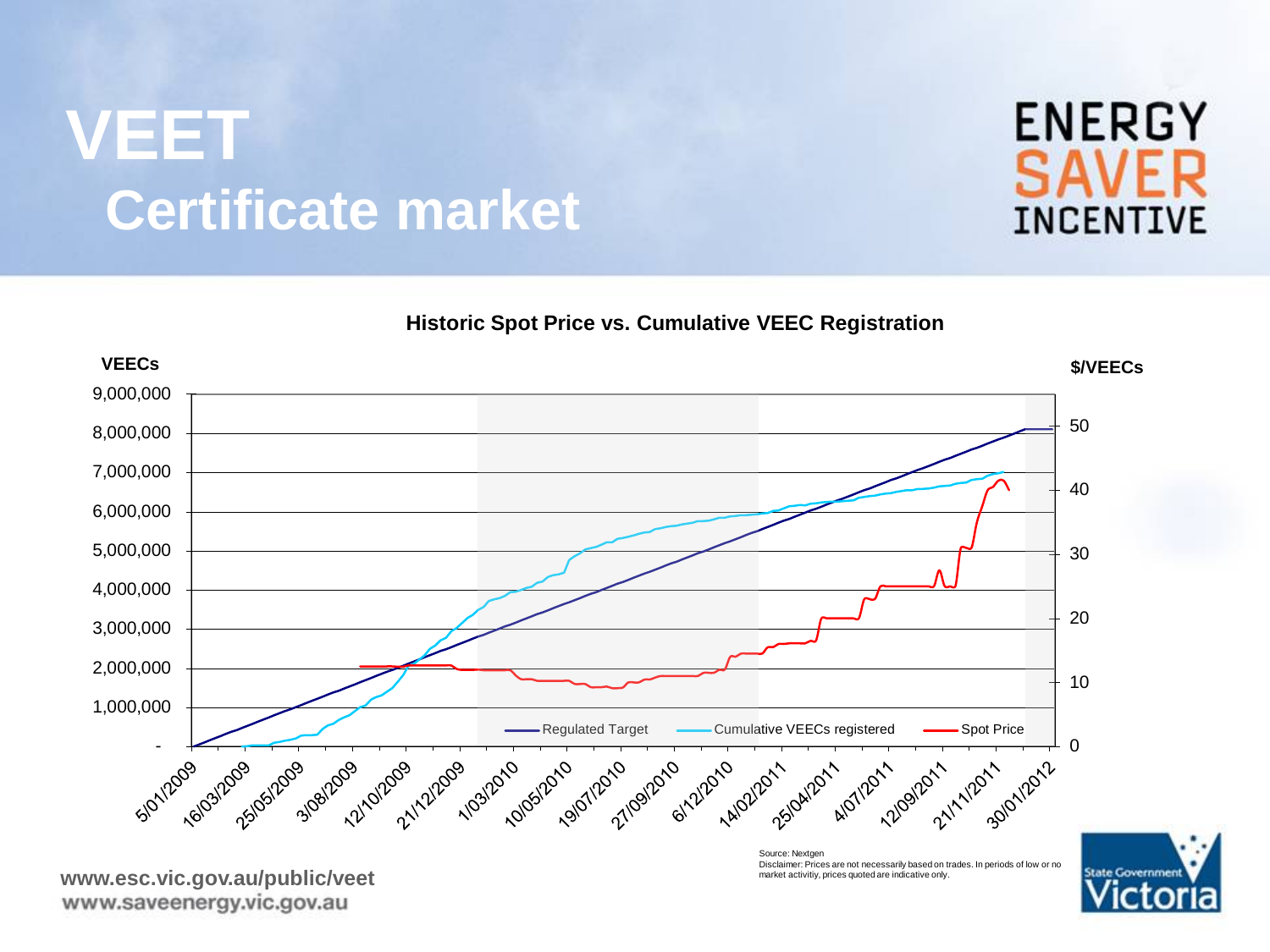### **VEET Certificate market**

#### **Historic Spot Price vs. Cumulative VEEC Registration**



**ENERGY SAVER INCENTIVE**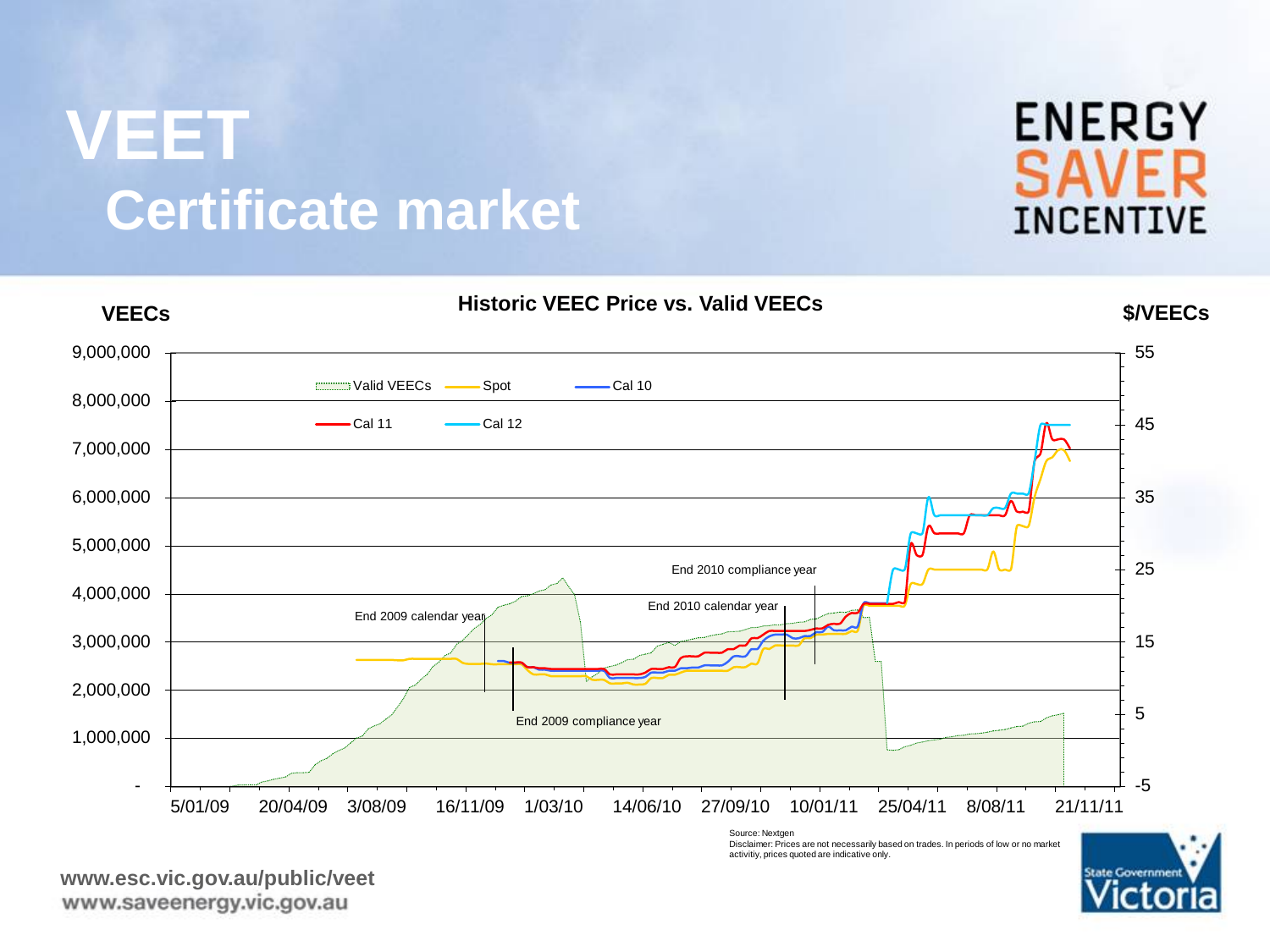### **VEET Certificate market**

-5 5 15 25 35 45 55 - 1,000,000 2,000,000 3,000,000 4,000,000 5,000,000 6,000,000 7,000,000 8,000,000 9,000,000 5/01/09 20/04/09 3/08/09 16/11/09 1/03/10 14/06/10 27/09/10 10/01/11 25/04/11 8/08/11 21/11/11 **VEECs \$/VEECs Historic VEEC Price vs. Valid VEECs** Valid VEECs - Spot Cal 10 Cal 11 - Cal 12 End 2009 calendar year End 2009 compliance year End 2010 calendar year End 2010 compliance year

Source: Nextgen Disclaimer: Prices are not necessarily based on trades. In periods of low or no market activitiy, prices quoted are indicative only.



**ENERGY** 

**SAVER** 

**INCENTIVE**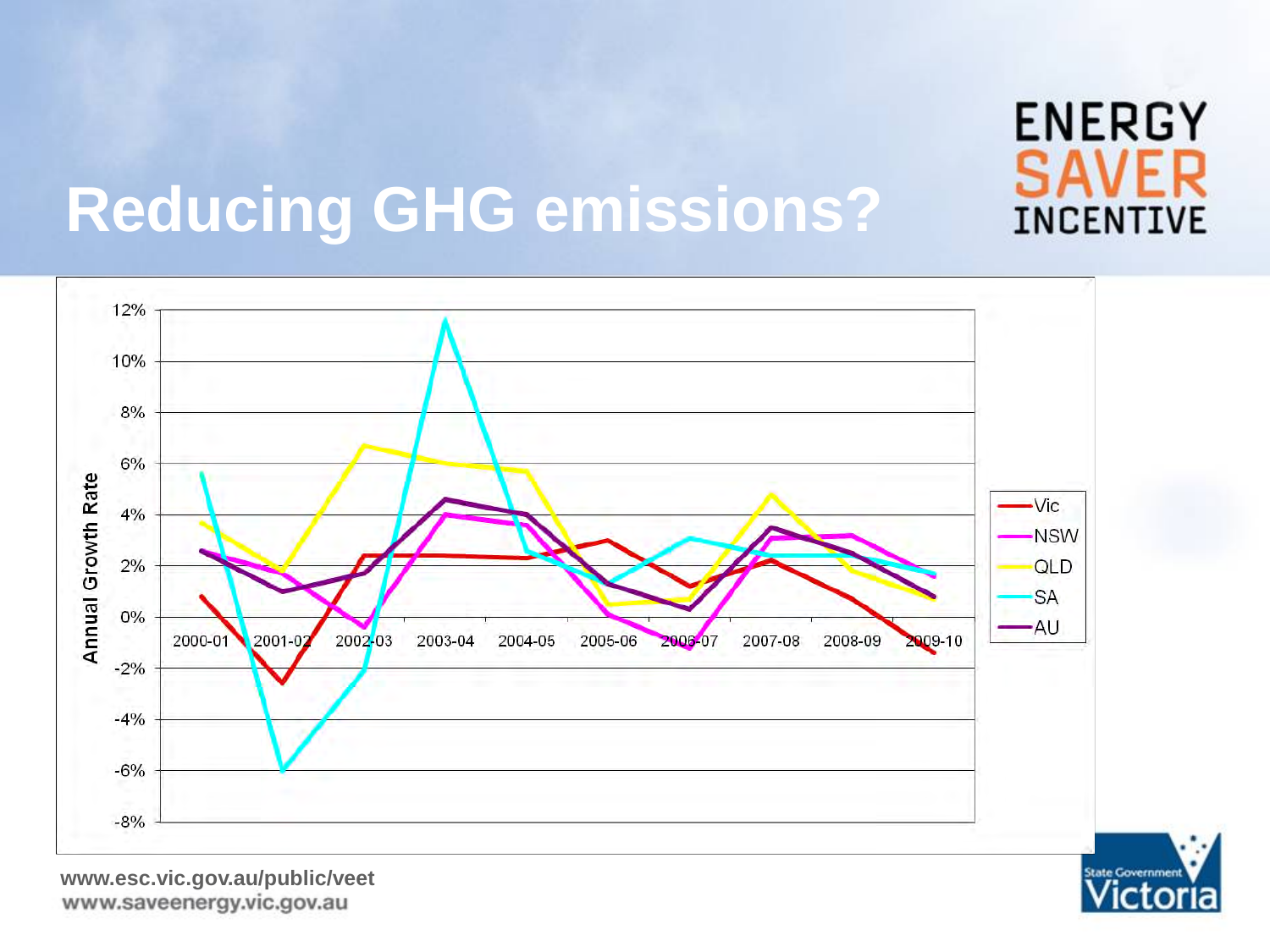

cto

# **Reducing GHG emissions?**